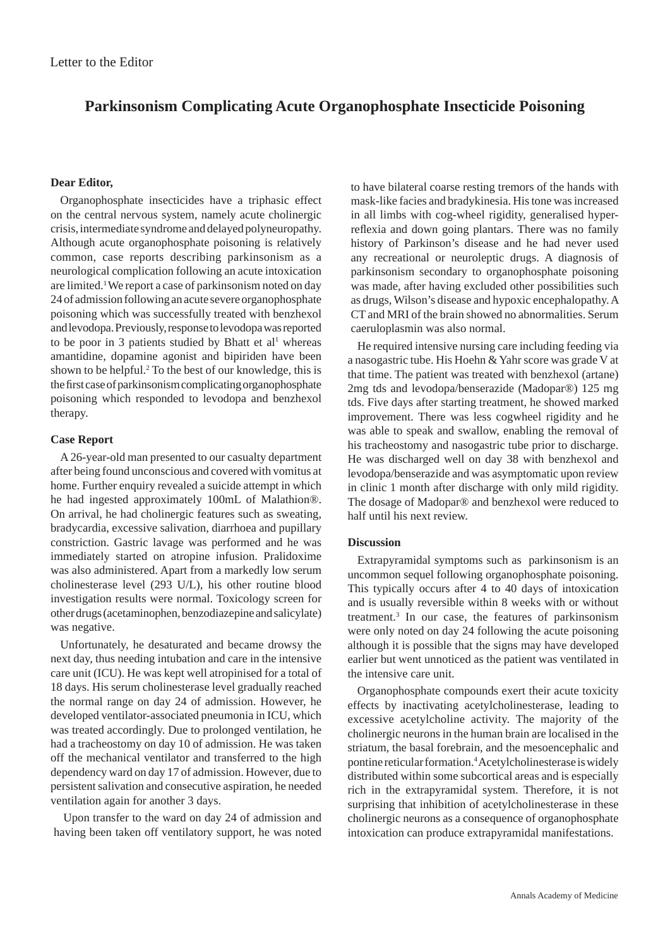# **Parkinsonism Complicating Acute Organophosphate Insecticide Poisoning**

## **Dear Editor,**

Organophosphate insecticides have a triphasic effect on the central nervous system, namely acute cholinergic crisis, intermediate syndrome and delayed polyneuropathy. Although acute organophosphate poisoning is relatively common, case reports describing parkinsonism as a neurological complication following an acute intoxication are limited.1 We report a case of parkinsonism noted on day 24 of admission following an acute severe organophosphate poisoning which was successfully treated with benzhexol and levodopa. Previously, response to levodopa was reported to be poor in 3 patients studied by Bhatt et  $al<sup>1</sup>$  whereas amantidine, dopamine agonist and bipiriden have been shown to be helpful.<sup>2</sup> To the best of our knowledge, this is the first case of parkinsonism complicating organophosphate poisoning which responded to levodopa and benzhexol therapy.

### **Case Report**

A 26-year-old man presented to our casualty department after being found unconscious and covered with vomitus at home. Further enquiry revealed a suicide attempt in which he had ingested approximately 100mL of Malathion®. On arrival, he had cholinergic features such as sweating, bradycardia, excessive salivation, diarrhoea and pupillary constriction. Gastric lavage was performed and he was immediately started on atropine infusion. Pralidoxime was also administered. Apart from a markedly low serum cholinesterase level (293 U/L), his other routine blood investigation results were normal. Toxicology screen for other drugs (acetaminophen, benzodiazepine and salicylate) was negative.

Unfortunately, he desaturated and became drowsy the next day, thus needing intubation and care in the intensive care unit (ICU). He was kept well atropinised for a total of 18 days. His serum cholinesterase level gradually reached the normal range on day 24 of admission. However, he developed ventilator-associated pneumonia in ICU, which was treated accordingly. Due to prolonged ventilation, he had a tracheostomy on day 10 of admission. He was taken off the mechanical ventilator and transferred to the high dependency ward on day 17 of admission. However, due to persistent salivation and consecutive aspiration, he needed ventilation again for another 3 days.

Upon transfer to the ward on day 24 of admission and having been taken off ventilatory support, he was noted

to have bilateral coarse resting tremors of the hands with mask-like facies and bradykinesia. His tone was increased in all limbs with cog-wheel rigidity, generalised hyperreflexia and down going plantars. There was no family history of Parkinson's disease and he had never used any recreational or neuroleptic drugs. A diagnosis of parkinsonism secondary to organophosphate poisoning was made, after having excluded other possibilities such as drugs, Wilson's disease and hypoxic encephalopathy. A CT and MRI of the brain showed no abnormalities. Serum caeruloplasmin was also normal.

He required intensive nursing care including feeding via a nasogastric tube. His Hoehn & Yahr score was grade V at that time. The patient was treated with benzhexol (artane) 2mg tds and levodopa/benserazide (Madopar®) 125 mg tds. Five days after starting treatment, he showed marked improvement. There was less cogwheel rigidity and he was able to speak and swallow, enabling the removal of his tracheostomy and nasogastric tube prior to discharge. He was discharged well on day 38 with benzhexol and levodopa/benserazide and was asymptomatic upon review in clinic 1 month after discharge with only mild rigidity. The dosage of Madopar® and benzhexol were reduced to half until his next review.

#### **Discussion**

Extrapyramidal symptoms such as parkinsonism is an uncommon sequel following organophosphate poisoning. This typically occurs after 4 to 40 days of intoxication and is usually reversible within 8 weeks with or without treatment.3 In our case, the features of parkinsonism were only noted on day 24 following the acute poisoning although it is possible that the signs may have developed earlier but went unnoticed as the patient was ventilated in the intensive care unit.

Organophosphate compounds exert their acute toxicity effects by inactivating acetylcholinesterase, leading to excessive acetylcholine activity. The majority of the cholinergic neurons in the human brain are localised in the striatum, the basal forebrain, and the mesoencephalic and pontine reticular formation.4 Acetylcholinesterase is widely distributed within some subcortical areas and is especially rich in the extrapyramidal system. Therefore, it is not surprising that inhibition of acetylcholinesterase in these cholinergic neurons as a consequence of organophosphate intoxication can produce extrapyramidal manifestations.